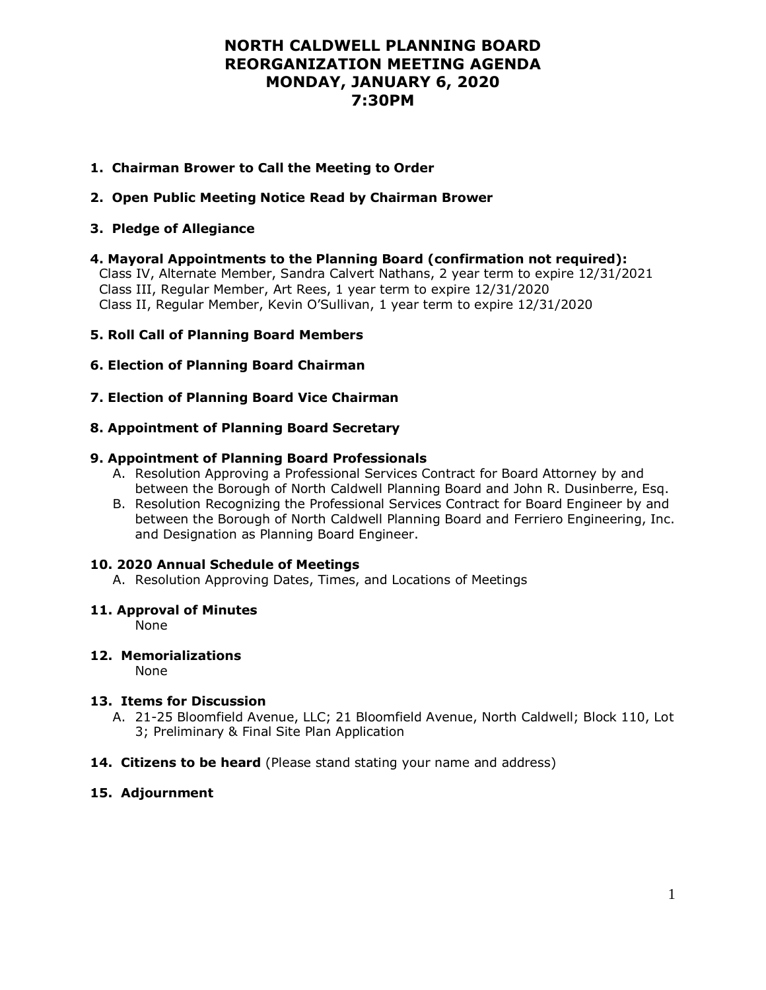## **NORTH CALDWELL PLANNING BOARD REORGANIZATION MEETING AGENDA MONDAY, JANUARY 6, 2020 7:30PM**

## **1. Chairman Brower to Call the Meeting to Order**

## **2. Open Public Meeting Notice Read by Chairman Brower**

#### **3. Pledge of Allegiance**

**4. Mayoral Appointments to the Planning Board (confirmation not required):**

 Class IV, Alternate Member, Sandra Calvert Nathans, 2 year term to expire 12/31/2021 Class III, Regular Member, Art Rees, 1 year term to expire 12/31/2020 Class II, Regular Member, Kevin O'Sullivan, 1 year term to expire 12/31/2020

#### **5. Roll Call of Planning Board Members**

## **6. Election of Planning Board Chairman**

## **7. Election of Planning Board Vice Chairman**

#### **8. Appointment of Planning Board Secretary**

#### **9. Appointment of Planning Board Professionals**

- A. Resolution Approving a Professional Services Contract for Board Attorney by and between the Borough of North Caldwell Planning Board and John R. Dusinberre, Esq.
- B. Resolution Recognizing the Professional Services Contract for Board Engineer by and between the Borough of North Caldwell Planning Board and Ferriero Engineering, Inc. and Designation as Planning Board Engineer.

#### **10. 2020 Annual Schedule of Meetings**

A. Resolution Approving Dates, Times, and Locations of Meetings

#### **11. Approval of Minutes**

None

#### **12. Memorializations**

None

#### **13. Items for Discussion**

- A. 21-25 Bloomfield Avenue, LLC; 21 Bloomfield Avenue, North Caldwell; Block 110, Lot 3; Preliminary & Final Site Plan Application
- **14. Citizens to be heard** (Please stand stating your name and address)

#### **15. Adjournment**